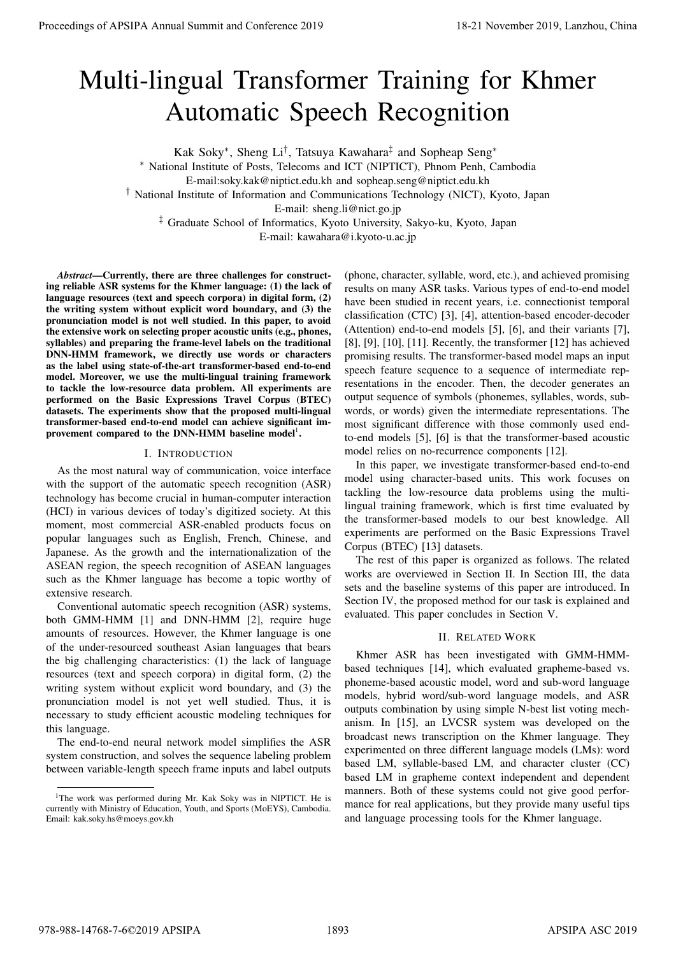# Multi-lingual Transformer Training for Khmer Automatic Speech Recognition

Kak Soky<sup>∗</sup> , Sheng Li† , Tatsuya Kawahara‡ and Sopheap Seng<sup>∗</sup>

<sup>∗</sup> National Institute of Posts, Telecoms and ICT (NIPTICT), Phnom Penh, Cambodia

E-mail:soky.kak@niptict.edu.kh and sopheap.seng@niptict.edu.kh

† National Institute of Information and Communications Technology (NICT), Kyoto, Japan

E-mail: sheng.li@nict.go.jp

‡ Graduate School of Informatics, Kyoto University, Sakyo-ku, Kyoto, Japan

E-mail: kawahara@i.kyoto-u.ac.jp

*Abstract*—Currently, there are three challenges for constructing reliable ASR systems for the Khmer language: (1) the lack of language resources (text and speech corpora) in digital form, (2) the writing system without explicit word boundary, and (3) the pronunciation model is not well studied. In this paper, to avoid the extensive work on selecting proper acoustic units (e.g., phones, syllables) and preparing the frame-level labels on the traditional DNN-HMM framework, we directly use words or characters as the label using state-of-the-art transformer-based end-to-end model. Moreover, we use the multi-lingual training framework to tackle the low-resource data problem. All experiments are performed on the Basic Expressions Travel Corpus (BTEC) datasets. The experiments show that the proposed multi-lingual transformer-based end-to-end model can achieve significant improvement compared to the DNN-HMM baseline  $model<sup>1</sup>$ .

# I. INTRODUCTION

As the most natural way of communication, voice interface with the support of the automatic speech recognition (ASR) technology has become crucial in human-computer interaction (HCI) in various devices of today's digitized society. At this moment, most commercial ASR-enabled products focus on popular languages such as English, French, Chinese, and Japanese. As the growth and the internationalization of the ASEAN region, the speech recognition of ASEAN languages such as the Khmer language has become a topic worthy of extensive research.

Conventional automatic speech recognition (ASR) systems, both GMM-HMM [1] and DNN-HMM [2], require huge amounts of resources. However, the Khmer language is one of the under-resourced southeast Asian languages that bears the big challenging characteristics: (1) the lack of language resources (text and speech corpora) in digital form, (2) the writing system without explicit word boundary, and (3) the pronunciation model is not yet well studied. Thus, it is necessary to study efficient acoustic modeling techniques for this language.

The end-to-end neural network model simplifies the ASR system construction, and solves the sequence labeling problem between variable-length speech frame inputs and label outputs

(phone, character, syllable, word, etc.), and achieved promising results on many ASR tasks. Various types of end-to-end model have been studied in recent years, i.e. connectionist temporal classification (CTC) [3], [4], attention-based encoder-decoder (Attention) end-to-end models [5], [6], and their variants [7], [8], [9], [10], [11]. Recently, the transformer [12] has achieved promising results. The transformer-based model maps an input speech feature sequence to a sequence of intermediate representations in the encoder. Then, the decoder generates an output sequence of symbols (phonemes, syllables, words, subwords, or words) given the intermediate representations. The most significant difference with those commonly used endto-end models [5], [6] is that the transformer-based acoustic model relies on no-recurrence components [12]. **Proceedings of APSIPA Annual Summit and Conference 2019**<br> **Multi-lingual Transformmer Training for Khmer 2019**<br> **Although Conference 2019**<br> **Although Conference 2019**<br> **Although Conference 2019**<br> **Although Conference 201** 

In this paper, we investigate transformer-based end-to-end model using character-based units. This work focuses on tackling the low-resource data problems using the multilingual training framework, which is first time evaluated by the transformer-based models to our best knowledge. All experiments are performed on the Basic Expressions Travel Corpus (BTEC) [13] datasets.

The rest of this paper is organized as follows. The related works are overviewed in Section II. In Section III, the data sets and the baseline systems of this paper are introduced. In Section IV, the proposed method for our task is explained and evaluated. This paper concludes in Section V.

# II. RELATED WORK

Khmer ASR has been investigated with GMM-HMMbased techniques [14], which evaluated grapheme-based vs. phoneme-based acoustic model, word and sub-word language models, hybrid word/sub-word language models, and ASR outputs combination by using simple N-best list voting mechanism. In [15], an LVCSR system was developed on the broadcast news transcription on the Khmer language. They experimented on three different language models (LMs): word based LM, syllable-based LM, and character cluster (CC) based LM in grapheme context independent and dependent manners. Both of these systems could not give good performance for real applications, but they provide many useful tips and language processing tools for the Khmer language.

<sup>&</sup>lt;sup>1</sup>The work was performed during Mr. Kak Soky was in NIPTICT. He is currently with Ministry of Education, Youth, and Sports (MoEYS), Cambodia. Email: kak.soky.hs@moeys.gov.kh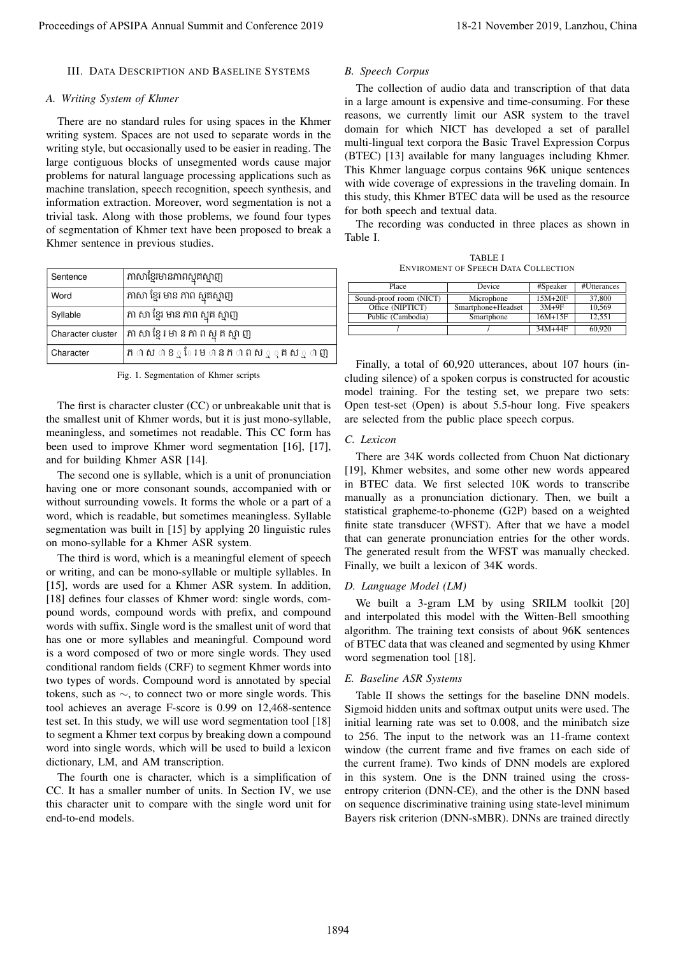# III. DATA DESCRIPTION AND BASELINE SYSTEMS

#### *A. Writing System of Khmer*

There are no standard rules for using spaces in the Khmer writing system. Spaces are not used to separate words in the writing style, but occasionally used to be easier in reading. The large contiguous blocks of unsegmented words cause major problems for natural language processing applications such as machine translation, speech recognition, speech synthesis, and information extraction. Moreover, word segmentation is not a trivial task. Along with those problems, we found four types of segmentation of Khmer text have been proposed to break a Khmer sentence in previous studies.

| Sentence          | ភាសាខ្មែរមានភាពស្មុគស្មាញ           |
|-------------------|-------------------------------------|
| Word              | ភាសា ខ្មែរ មាន ភាព ស្មុគស្មាញ       |
| Syllable          | ភា សា ខ្មែរ មាន ភាព ស្មុគ ស្មាញ     |
| Character cluster | ភា សា ខ្មែរ មា ន ភា ព ស្មុ គ ស្មា ញ |
| Character         | ភាពសាខΩំ មែានភាពសេួុគសេួាញ          |

Fig. 1. Segmentation of Khmer scripts

The first is character cluster (CC) or unbreakable unit that is the smallest unit of Khmer words, but it is just mono-syllable, meaningless, and sometimes not readable. This CC form has been used to improve Khmer word segmentation [16], [17], and for building Khmer ASR [14].

The second one is syllable, which is a unit of pronunciation having one or more consonant sounds, accompanied with or without surrounding vowels. It forms the whole or a part of a word, which is readable, but sometimes meaningless. Syllable segmentation was built in [15] by applying 20 linguistic rules on mono-syllable for a Khmer ASR system.

The third is word, which is a meaningful element of speech or writing, and can be mono-syllable or multiple syllables. In [15], words are used for a Khmer ASR system. In addition, [18] defines four classes of Khmer word: single words, compound words, compound words with prefix, and compound words with suffix. Single word is the smallest unit of word that has one or more syllables and meaningful. Compound word is a word composed of two or more single words. They used conditional random fields (CRF) to segment Khmer words into two types of words. Compound word is annotated by special tokens, such as ∼, to connect two or more single words. This tool achieves an average F-score is 0.99 on 12,468-sentence test set. In this study, we will use word segmentation tool [18] to segment a Khmer text corpus by breaking down a compound word into single words, which will be used to build a lexicon dictionary, LM, and AM transcription. Proceeding of APSIPA Annual Summit and Conference 2019<br>
2. Encode and Conference 2019 18-21 November 2019 18-21 November 2019 18-21 November 2019 2011 18-21 November 2019 2019 18-21 November 2019 2019 18-21 November 2019

The fourth one is character, which is a simplification of CC. It has a smaller number of units. In Section IV, we use this character unit to compare with the single word unit for end-to-end models.

#### *B. Speech Corpus*

The collection of audio data and transcription of that data in a large amount is expensive and time-consuming. For these reasons, we currently limit our ASR system to the travel domain for which NICT has developed a set of parallel multi-lingual text corpora the Basic Travel Expression Corpus (BTEC) [13] available for many languages including Khmer. This Khmer language corpus contains 96K unique sentences with wide coverage of expressions in the traveling domain. In this study, this Khmer BTEC data will be used as the resource for both speech and textual data.

The recording was conducted in three places as shown in Table I.

TABLE I ENVIROMENT OF SPEECH DATA COLLECTION

| Place                   | Device             | #Speaker    | #Utterances |
|-------------------------|--------------------|-------------|-------------|
| Sound-proof room (NICT) | Microphone         | $15M+20F$   | 37,800      |
| Office (NIPTICT)        | Smartphone+Headset | $3M+9F$     | 10.569      |
| Public (Cambodia)       | Smartphone         | $16M + 15F$ | 12.551      |
|                         |                    | 34M+44F     | 60,920      |

Finally, a total of 60,920 utterances, about 107 hours (including silence) of a spoken corpus is constructed for acoustic model training. For the testing set, we prepare two sets: Open test-set (Open) is about 5.5-hour long. Five speakers are selected from the public place speech corpus.

## *C. Lexicon*

There are 34K words collected from Chuon Nat dictionary [19], Khmer websites, and some other new words appeared in BTEC data. We first selected 10K words to transcribe manually as a pronunciation dictionary. Then, we built a statistical grapheme-to-phoneme (G2P) based on a weighted finite state transducer (WFST). After that we have a model that can generate pronunciation entries for the other words. The generated result from the WFST was manually checked. Finally, we built a lexicon of 34K words.

## *D. Language Model (LM)*

We built a 3-gram LM by using SRILM toolkit [20] and interpolated this model with the Witten-Bell smoothing algorithm. The training text consists of about 96K sentences of BTEC data that was cleaned and segmented by using Khmer word segmenation tool [18].

## *E. Baseline ASR Systems*

Table II shows the settings for the baseline DNN models. Sigmoid hidden units and softmax output units were used. The initial learning rate was set to 0.008, and the minibatch size to 256. The input to the network was an 11-frame context window (the current frame and five frames on each side of the current frame). Two kinds of DNN models are explored in this system. One is the DNN trained using the crossentropy criterion (DNN-CE), and the other is the DNN based on sequence discriminative training using state-level minimum Bayers risk criterion (DNN-sMBR). DNNs are trained directly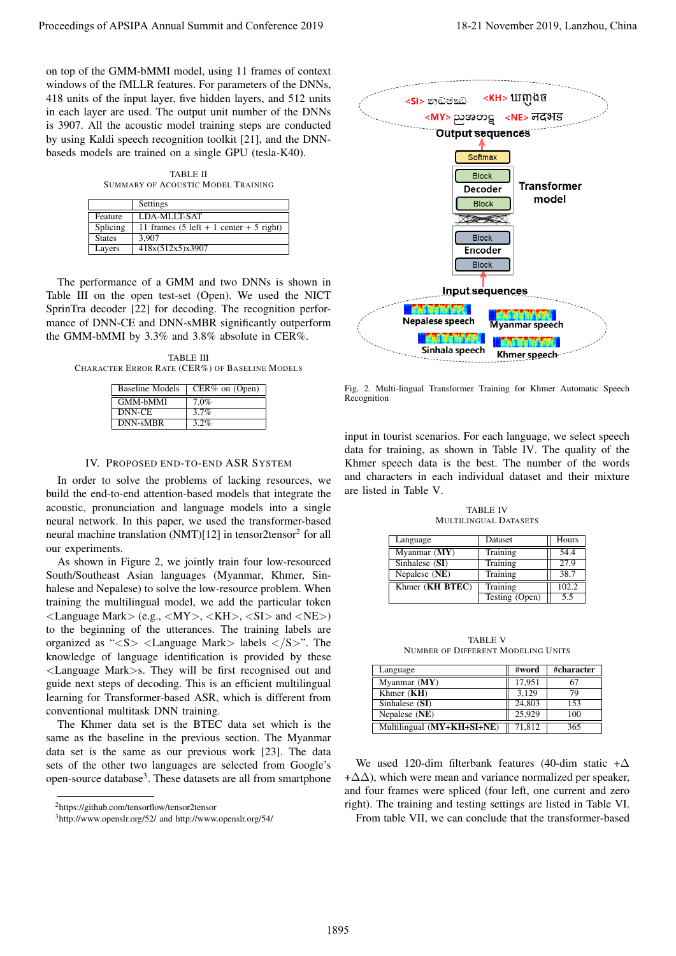on top of the GMM-bMMI model, using 11 frames of context windows of the fMLLR features. For parameters of the DNNs, 418 units of the input layer, five hidden layers, and 512 units in each layer are used. The output unit number of the DNNs is 3907. All the acoustic model training steps are conducted by using Kaldi speech recognition toolkit [21], and the DNNbaseds models are trained on a single GPU (tesla-K40).

TABLE II SUMMARY OF ACOUSTIC MODEL TRAINING

|               | Settings                                                          |
|---------------|-------------------------------------------------------------------|
| Feature       | LDA-MLLT-SAT                                                      |
| Splicing      | 11 frames $(5 \text{ left} + 1 \text{ center} + 5 \text{ right})$ |
| <b>States</b> | 3.907                                                             |
| Layers        | 418x(512x5)x3907                                                  |

The performance of a GMM and two DNNs is shown in Table III on the open test-set (Open). We used the NICT SprinTra decoder [22] for decoding. The recognition performance of DNN-CE and DNN-sMBR significantly outperform the GMM-bMMI by 3.3% and 3.8% absolute in CER%.

TABLE III CHARACTER ERROR RATE (CER%) OF BASELINE MODELS

| <b>Baseline Models</b> | $CER\%$ on (Open) |
|------------------------|-------------------|
| <b>GMM-bMMI</b>        | 7.0%              |
| DNN-CE                 | $3.7\%$           |
| DNN-sMBR               | $3.2\%$           |

## IV. PROPOSED END-TO-END ASR SYSTEM

In order to solve the problems of lacking resources, we build the end-to-end attention-based models that integrate the acoustic, pronunciation and language models into a single neural network. In this paper, we used the transformer-based neural machine translation (NMT)[12] in tensor2tensor<sup>2</sup> for all our experiments.

As shown in Figure 2, we jointly train four low-resourced South/Southeast Asian languages (Myanmar, Khmer, Sinhalese and Nepalese) to solve the low-resource problem. When training the multilingual model, we add the particular token  $\langle$  Language Mark $>$  (e.g.,  $\langle MY \rangle$ ,  $\langle KH \rangle$ ,  $\langle SI \rangle$  and  $\langle NE \rangle$ ) to the beginning of the utterances. The training labels are organized as " $\langle S \rangle$   $\langle$  Language Mark $>$  labels  $\langle S \rangle$ ". The knowledge of language identification is provided by these <Language Mark>s. They will be first recognised out and guide next steps of decoding. This is an efficient multilingual learning for Transformer-based ASR, which is different from conventional multitask DNN training.

The Khmer data set is the BTEC data set which is the same as the baseline in the previous section. The Myanmar data set is the same as our previous work [23]. The data sets of the other two languages are selected from Google's open-source database<sup>3</sup>. These datasets are all from smartphone

<sup>3</sup>http://www.openslr.org/52/ and http://www.openslr.org/54/



Fig. 2. Multi-lingual Transformer Training for Khmer Automatic Speech Recognition

input in tourist scenarios. For each language, we select speech data for training, as shown in Table IV. The quality of the Khmer speech data is the best. The number of the words and characters in each individual dataset and their mixture are listed in Table V.

TABLE IV MULTILINGUAL DATASETS

| Language        | Dataset        | Hours |
|-----------------|----------------|-------|
| Myanmar $(MY)$  | Training       | 54.4  |
| Sinhalese (SI)  | Training       | 27.9  |
| Nepalese (NE)   | Training       | 38.7  |
| Khmer (KH BTEC) | Training       | 102.2 |
|                 | Testing (Open) | 5.5   |

TABLE V NUMBER OF DIFFERENT MODELING UNITS

| Language                   | #word  | #character |
|----------------------------|--------|------------|
| Myanmar $(MY)$             | 17.951 | 67         |
| Khmer $(KH)$               | 3.129  | 79         |
| Sinhalese (SI)             | 24,803 | 153        |
| Nepalese (NE)              | 25,929 | 100        |
| Multilingual (MY+KH+SI+NE) | 71,812 | 365        |

We used 120-dim filterbank features (40-dim static + $\Delta$  $+\Delta\Delta$ ), which were mean and variance normalized per speaker, and four frames were spliced (four left, one current and zero right). The training and testing settings are listed in Table VI. From table VII, we can conclude that the transformer-based

<sup>2</sup>https://github.com/tensorflow/tensor2tensor